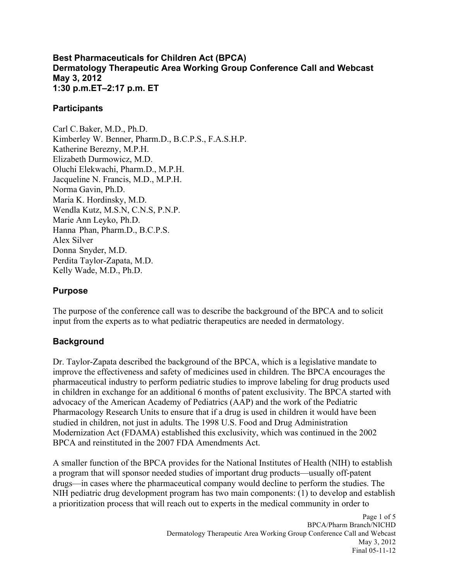#### **1:30 p.m.ET–2:17 p.m. ET Best Pharmaceuticals for Children Act (BPCA) Dermatology Therapeutic Area Working Group Conference Call and Webcast May 3, 2012**

#### **Participants**

Carl C.Baker, M.D., Ph.D. Kimberley W. Benner, Pharm.D., B.C.P.S., F.A.S.H.P. Katherine Berezny, M.P.H. Elizabeth Durmowicz, M.D. Oluchi Elekwachi, Pharm.D., M.P.H. Jacqueline N. Francis, M.D., M.P.H. Norma Gavin, Ph.D. Maria K. Hordinsky, M.D. Wendla Kutz, M.S.N, C.N.S, P.N.P. Marie Ann Leyko, Ph.D. Hanna Phan, Pharm.D., B.C.P.S. Alex Silver Donna Snyder, M.D. Perdita Taylor-Zapata, M.D. Kelly Wade, M.D., Ph.D.

#### **Purpose**

 input from the experts as to what pediatric therapeutics are needed in dermatology. The purpose of the conference call was to describe the background of the BPCA and to solicit

# **Background**

 improve the effectiveness and safety of medicines used in children. The BPCA encourages the Modernization Act (FDAMA) established this exclusivity, which was continued in the 2002 Dr. Taylor-Zapata described the background of the BPCA, which is a legislative mandate to pharmaceutical industry to perform pediatric studies to improve labeling for drug products used in children in exchange for an additional 6 months of patent exclusivity. The BPCA started with advocacy of the American Academy of Pediatrics (AAP) and the work of the Pediatric Pharmacology Research Units to ensure that if a drug is used in children it would have been studied in children, not just in adults. The 1998 U.S. Food and Drug Administration BPCA and reinstituted in the 2007 FDA Amendments Act.

A smaller function of the BPCA provides for the National Institutes of Health (NIH) to establish a program that will sponsor needed studies of important drug products—usually off-patent drugs—in cases where the pharmaceutical company would decline to perform the studies. The NIH pediatric drug development program has two main components: (1) to develop and establish a prioritization process that will reach out to experts in the medical community in order to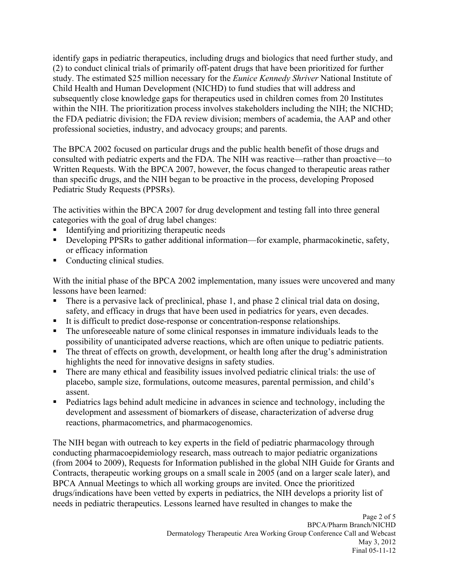study. The estimated \$25 million necessary for the *Eunice Kennedy Shriver* National Institute of Child Health and Human Development (NICHD) to fund studies that will address and within the NIH. The prioritization process involves stakeholders including the NIH; the NICHD; the FDA pediatric division; the FDA review division; members of academia, the AAP and other professional societies, industry, and advocacy groups; and parents. identify gaps in pediatric therapeutics, including drugs and biologics that need further study, and (2) to conduct clinical trials of primarily off-patent drugs that have been prioritized for further subsequently close knowledge gaps for therapeutics used in children comes from 20 Institutes

 The BPCA 2002 focused on particular drugs and the public health benefit of those drugs and consulted with pediatric experts and the FDA. The NIH was reactive—rather than proactive—to Written Requests. With the BPCA 2007, however, the focus changed to therapeutic areas rather than specific drugs, and the NIH began to be proactive in the process, developing Proposed Pediatric Study Requests (PPSRs).

The activities within the BPCA 2007 for drug development and testing fall into three general categories with the goal of drug label changes:

- ! Identifying and prioritizing therapeutic needs
- ! Developing PPSRs to gather additional information—for example, pharmacokinetic, safety, or efficacy information
- Conducting clinical studies.

With the initial phase of the BPCA 2002 implementation, many issues were uncovered and many lessons have been learned:

- ! There is a pervasive lack of preclinical, phase 1, and phase 2 clinical trial data on dosing, safety, and efficacy in drugs that have been used in pediatrics for years, even decades.
- ! It is difficult to predict dose-response or concentration-response relationships.
- ! The unforeseeable nature of some clinical responses in immature individuals leads to the possibility of unanticipated adverse reactions, which are often unique to pediatric patients.
- The threat of effects on growth, development, or health long after the drug's administration highlights the need for innovative designs in safety studies.
- ! There are many ethical and feasibility issues involved pediatric clinical trials: the use of placebo, sample size, formulations, outcome measures, parental permission, and child' s assent.
- ! Pediatrics lags behind adult medicine in advances in science and technology, including the development and assessment of biomarkers of disease, characterization of adverse drug reactions, pharmacometrics, and pharmacogenomics.

The NIH began with outreach to key experts in the field of pediatric pharmacology through conducting pharmacoepidemiology research, mass outreach to major pediatric organizations (from 2004 to 2009), Requests for Information published in the global NIH Guide for Grants and Contracts, therapeutic working groups on a small scale in 2005 (and on a larger scale later), and BPCA Annual Meetings to which all working groups are invited. Once the prioritized drugs/indications have been vetted by experts in pediatrics, the NIH develops a priority list of needs in pediatric therapeutics. Lessons learned have resulted in changes to make the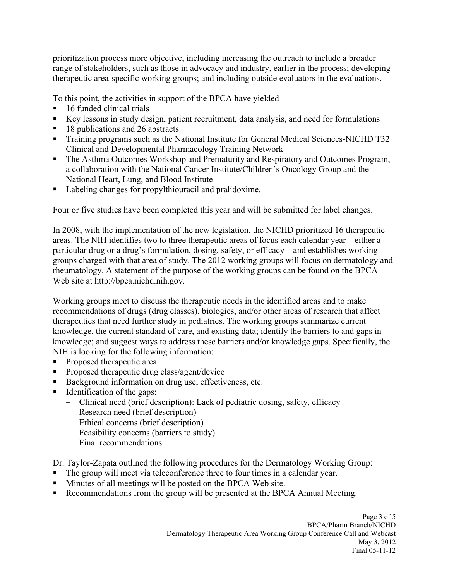prioritization process more objective, including increasing the outreach to include a broader range of stakeholders, such as those in advocacy and industry, earlier in the process; developing therapeutic area-specific working groups; and including outside evaluators in the evaluations.

To this point, the activities in support of the BPCA have yielded

- ! 16 funded clinical trials
- ! Key lessons in study design, patient recruitment, data analysis, and need for formulations
- 18 publications and 26 abstracts
- **Training programs such as the National Institute for General Medical Sciences-NICHD T32** Clinical and Developmental Pharmacology Training Network
- **The Asthma Outcomes Workshop and Prematurity and Respiratory and Outcomes Program,** a collaboration with the National Cancer Institute/Children's Oncology Group and the National Heart, Lung, and Blood Institute
- **•** Labeling changes for propylthiouracil and pralidoxime.

Four or five studies have been completed this year and will be submitted for label changes.

In 2008, with the implementation of the new legislation, the NICHD prioritized 16 therapeutic areas. The NIH identifies two to three therapeutic areas of focus each calendar year—either a particular drug or a drug's formulation, dosing, safety, or efficacy—and establishes working groups charged with that area of study. The 2012 working groups will focus on dermatology and rheumatology. A statement of the purpose of the working groups can be found on the BPCA Web site at [http://bpca.nichd.nih.gov.](http://bpca.nichd.nih.gov) 

 Working groups meet to discuss the therapeutic needs in the identified areas and to make knowledge; and suggest ways to address these barriers and/or knowledge gaps. Specifically, the recommendations of drugs (drug classes), biologics, and/or other areas of research that affect therapeutics that need further study in pediatrics. The working groups summarize current knowledge, the current standard of care, and existing data; identify the barriers to and gaps in NIH is looking for the following information:

- ! Proposed therapeutic area
- **Proposed therapeutic drug class/agent/device**
- ! Background information on drug use, effectiveness, etc.
- **I** Identification of the gaps:
	- – Clinical need (brief description): Lack of pediatric dosing, safety, efficacy
	- – Research need (brief description)
	- – Ethical concerns (brief description)
	- – Feasibility concerns (barriers to study)
	- – Final recommendations.

Dr. Taylor-Zapata outlined the following procedures for the Dermatology Working Group:

- The group will meet via teleconference three to four times in a calendar year.
- ! Minutes of all meetings will be posted on the BPCA Web site.
- **Recommendations from the group will be presented at the BPCA Annual Meeting.**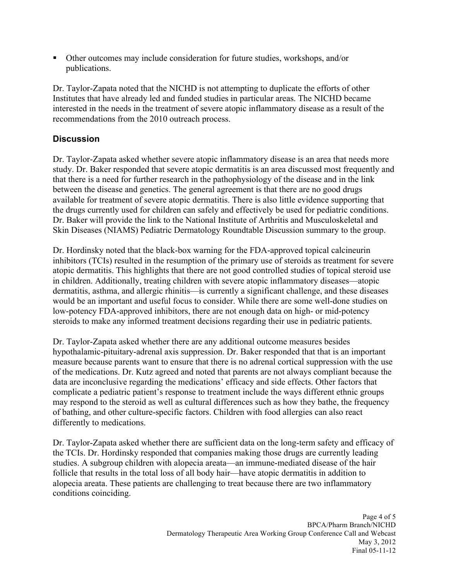**.** Other outcomes may include consideration for future studies, workshops, and/or publications.

 Dr. Taylor-Zapata noted that the NICHD is not attempting to duplicate the efforts of other recommendations from the 2010 outreach process. Institutes that have already led and funded studies in particular areas. The NICHD became interested in the needs in the treatment of severe atopic inflammatory disease as a result of the

### **Discussion**

 Dr. Taylor-Zapata asked whether severe atopic inflammatory disease is an area that needs more between the disease and genetics. The general agreement is that there are no good drugs available for treatment of severe atopic dermatitis. There is also little evidence supporting that Skin Diseases (NIAMS) Pediatric Dermatology Roundtable Discussion summary to the group. study. Dr. Baker responded that severe atopic dermatitis is an area discussed most frequently and that there is a need for further research in the pathophysiology of the disease and in the link the drugs currently used for children can safely and effectively be used for pediatric conditions. Dr. Baker will provide the link to the National Institute of Arthritis and Musculoskeletal and

 Dr. Hordinsky noted that the black-box warning for the FDA-approved topical calcineurin inhibitors (TCIs) resulted in the resumption of the primary use of steroids as treatment for severe would be an important and useful focus to consider. While there are some well-done studies on low-potency FDA-approved inhibitors, there are not enough data on high- or mid-potency atopic dermatitis. This highlights that there are not good controlled studies of topical steroid use in children. Additionally, treating children with severe atopic inflammatory diseases—atopic dermatitis, asthma, and allergic rhinitis—is currently a significant challenge, and these diseases steroids to make any informed treatment decisions regarding their use in pediatric patients.

 measure because parents want to ensure that there is no adrenal cortical suppression with the use Dr. Taylor-Zapata asked whether there are any additional outcome measures besides hypothalamic-pituitary-adrenal axis suppression. Dr. Baker responded that that is an important of the medications. Dr. Kutz agreed and noted that parents are not always compliant because the data are inconclusive regarding the medications' efficacy and side effects. Other factors that complicate a pediatric patient's response to treatment include the ways different ethnic groups may respond to the steroid as well as cultural differences such as how they bathe, the frequency of bathing, and other culture-specific factors. Children with food allergies can also react differently to medications.

 studies. A subgroup children with alopecia areata—an immune-mediated disease of the hair follicle that results in the total loss of all body hair—have atopic dermatitis in addition to Dr. Taylor-Zapata asked whether there are sufficient data on the long-term safety and efficacy of the TCIs. Dr. Hordinsky responded that companies making those drugs are currently leading alopecia areata. These patients are challenging to treat because there are two inflammatory conditions coinciding.